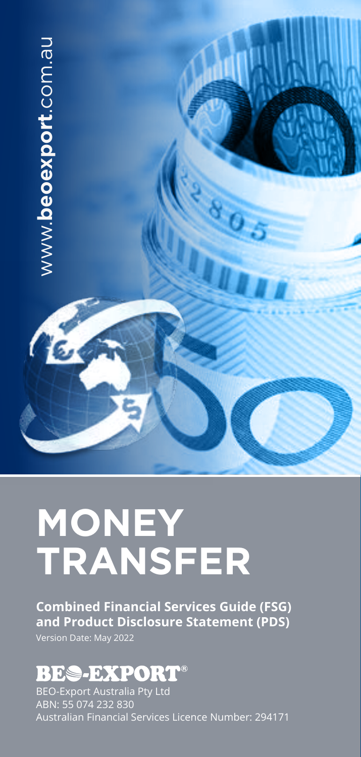

# **MONEY TRANSFER**

**Combined Financial Services Guide (FSG) and Product Disclosure Statement (PDS)** Version Date: May 2022

## **BES-EXPORT®**

BEO-Export Australia Pty Ltd ABN: 55 074 232 830 Australian Financial Services Licence Number: 294171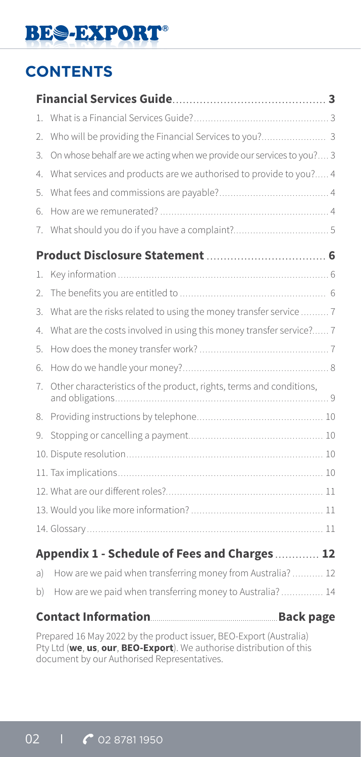## **CONTENTS**

| 1. |                                                                      |  |
|----|----------------------------------------------------------------------|--|
| 2. |                                                                      |  |
| 3. | On whose behalf are we acting when we provide our services to you? 3 |  |
| 4. | What services and products are we authorised to provide to you? 4    |  |
| 5. |                                                                      |  |
| 6. |                                                                      |  |
| 7. |                                                                      |  |
|    |                                                                      |  |
| 1. |                                                                      |  |
| 2. |                                                                      |  |
| 3. | What are the risks related to using the money transfer service  7    |  |
| 4. | What are the costs involved in using this money transfer service? 7  |  |
| 5. |                                                                      |  |
| 6. |                                                                      |  |
| 7. | Other characteristics of the product, rights, terms and conditions,  |  |
| 8. |                                                                      |  |
| 9. |                                                                      |  |
|    |                                                                      |  |
|    |                                                                      |  |
|    |                                                                      |  |
|    |                                                                      |  |
|    |                                                                      |  |
|    | Appendix 1 - Schedule of Fees and Charges 12                         |  |
| a) | How are we paid when transferring money from Australia?  12          |  |
| b) | How are we paid when transferring money to Australia? 14             |  |
|    |                                                                      |  |

Prepared 16 May 2022 by the product issuer, BEO-Export (Australia) Pty Ltd (**we**, **us**, **our**, **BEO-Export**). We authorise distribution of this document by our Authorised Representatives.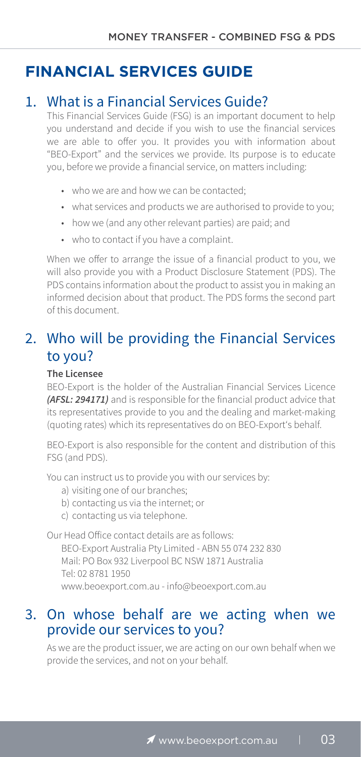### **FINANCIAL SERVICES GUIDE**

#### 1. What is a Financial Services Guide?

This Financial Services Guide (FSG) is an important document to help you understand and decide if you wish to use the financial services we are able to offer you. It provides you with information about "BEO-Export" and the services we provide. Its purpose is to educate you, before we provide a financial service, on matters including:

- who we are and how we can be contacted.
- what services and products we are authorised to provide to you;
- how we (and any other relevant parties) are paid; and
- who to contact if you have a complaint.

When we offer to arrange the issue of a financial product to you, we will also provide you with a Product Disclosure Statement (PDS). The PDS contains information about the product to assist you in making an informed decision about that product. The PDS forms the second part of this document.

### 2. Who will be providing the Financial Services to you?

#### **The Licensee**

BEO-Export is the holder of the Australian Financial Services Licence *(AFSL: 294171)* and is responsible for the financial product advice that its representatives provide to you and the dealing and market-making (quoting rates) which its representatives do on BEO-Export's behalf.

BEO-Export is also responsible for the content and distribution of this FSG (and PDS).

You can instruct us to provide you with our services by:

- a) visiting one of our branches;
- b) contacting us via the internet; or
- c) contacting us via telephone.

Our Head Office contact details are as follows:

BEO-Export Australia Pty Limited - ABN 55 074 232 830 Mail: PO Box 932 Liverpool BC NSW 1871 Australia Tel: 02 8781 1950 www.beoexport.com.au - info@beoexport.com.au

#### 3. On whose behalf are we acting when we provide our services to you?

As we are the product issuer, we are acting on our own behalf when we provide the services, and not on your behalf.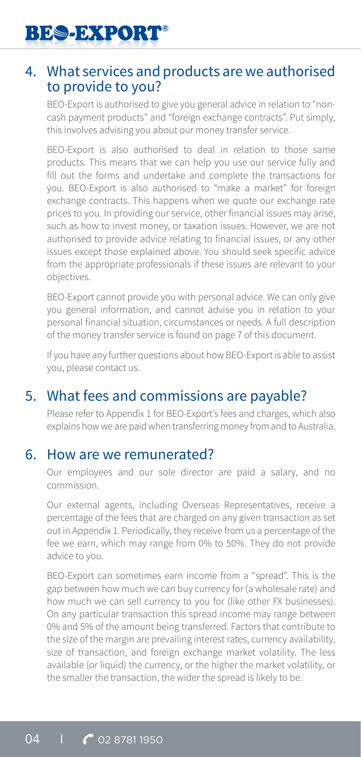

#### 4. What services and products are we authorised to provide to you?

BEO-Export is authorised to give you general advice in relation to "noncash payment products" and "foreign exchange contracts". Put simply, this involves advising you about our money transfer service.

BEO-Export is also authorised to deal in relation to those same products. This means that we can help you use our service fully and fill out the forms and undertake and complete the transactions for you. BEO-Export is also authorised to "make a market" for foreign exchange contracts. This happens when we quote our exchange rate prices to you. In providing our service, other financial issues may arise, such as how to invest money, or taxation issues. However, we are not authorised to provide advice relating to financial issues, or any other issues except those explained above. You should seek specific advice from the appropriate professionals if these issues are relevant to your objectives.

BEO-Export cannot provide you with personal advice. We can only give you general information, and cannot advise you in relation to your personal financial situation, circumstances or needs. A full description of the money transfer service is found on page 7 of this document.

If you have any further questions about how BEO-Export is able to assist you, please contact us.

#### 5. What fees and commissions are payable?

Please refer to Appendix 1 for BEO-Export's fees and charges, which also explains how we are paid when transferring money from and to Australia.

#### 6. How are we remunerated?

Our employees and our sole director are paid a salary, and no commission.

Our external agents, including Overseas Representatives, receive a percentage of the fees that are charged on any given transaction as set out in Appendix 1. Periodically, they receive from us a percentage of the fee we earn, which may range from 0% to 50%. They do not provide advice to you.

BEO-Export can sometimes earn income from a "spread". This is the gap between how much we can buy currency for (a wholesale rate) and how much we can sell currency to you for (like other FX businesses). On any particular transaction this spread income may range between 0% and 5% of the amount being transferred. Factors that contribute to the size of the margin are prevailing interest rates, currency availability, size of transaction, and foreign exchange market volatility. The less available (or liquid) the currency, or the higher the market volatility, or the smaller the transaction, the wider the spread is likely to be.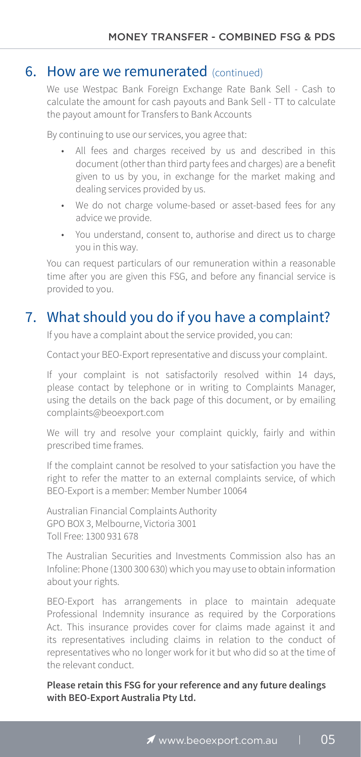#### **6. How are we remunerated** (continued)

We use Westpac Bank Foreign Exchange Rate Bank Sell - Cash to calculate the amount for cash payouts and Bank Sell - TT to calculate the payout amount for Transfers to Bank Accounts

By continuing to use our services, you agree that:

- All fees and charges received by us and described in this document (other than third party fees and charges) are a benefit given to us by you, in exchange for the market making and dealing services provided by us.
- We do not charge volume-based or asset-based fees for any advice we provide.
- You understand, consent to, authorise and direct us to charge you in this way.

You can request particulars of our remuneration within a reasonable time after you are given this FSG, and before any financial service is provided to you.

#### 7. What should you do if you have a complaint?

If you have a complaint about the service provided, you can:

Contact your BEO-Export representative and discuss your complaint.

If your complaint is not satisfactorily resolved within 14 days, please contact by telephone or in writing to Complaints Manager, using the details on the back page of this document, or by emailing complaints@beoexport.com

We will try and resolve your complaint quickly, fairly and within prescribed time frames.

If the complaint cannot be resolved to your satisfaction you have the right to refer the matter to an external complaints service, of which BEO-Export is a member: Member Number 10064

Australian Financial Complaints Authority GPO BOX 3, Melbourne, Victoria 3001 Toll Free: 1300 931 678

The Australian Securities and Investments Commission also has an Infoline: Phone (1300 300 630) which you may use to obtain information about your rights.

BEO-Export has arrangements in place to maintain adequate Professional Indemnity insurance as required by the Corporations Act. This insurance provides cover for claims made against it and its representatives including claims in relation to the conduct of representatives who no longer work for it but who did so at the time of the relevant conduct.

**Please retain this FSG for your reference and any future dealings with BEO-Export Australia Pty Ltd.**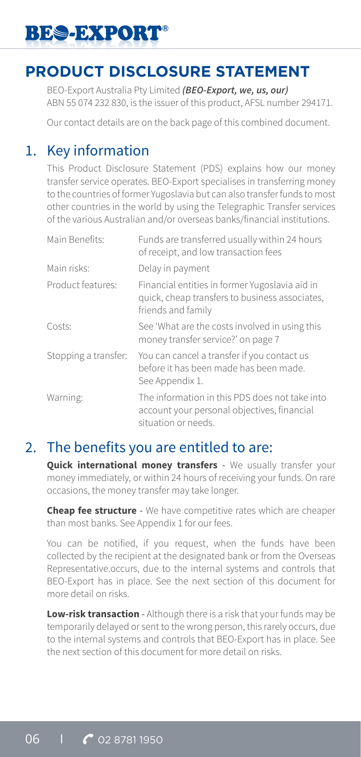## **PRODUCT DISCLOSURE STATEMENT**

BEO-Export Australia Pty Limited *(BEO-Export, we, us, our)* ABN 55 074 232 830, is the issuer of this product, AFSL number 294171.

Our contact details are on the back page of this combined document.

### 1. Key information

This Product Disclosure Statement (PDS) explains how our money transfer service operates. BEO-Export specialises in transferring money to the countries of former Yugoslavia but can also transfer funds to most other countries in the world by using the Telegraphic Transfer services of the various Australian and/or overseas banks/financial institutions.

| Main Benefits:       | Funds are transferred usually within 24 hours<br>of receipt, and low transaction fees                                  |
|----------------------|------------------------------------------------------------------------------------------------------------------------|
| Main risks:          | Delay in payment                                                                                                       |
| Product features:    | Financial entities in former Yugoslavia aid in<br>quick, cheap transfers to business associates,<br>friends and family |
| Costs:               | See 'What are the costs involved in using this<br>money transfer service?' on page 7                                   |
| Stopping a transfer: | You can cancel a transfer if you contact us<br>before it has been made has been made.<br>See Appendix 1.               |
| Warning:             | The information in this PDS does not take into<br>account your personal objectives, financial<br>situation or needs.   |

#### 2. The benefits you are entitled to are:

**Quick international money transfers** - We usually transfer your money immediately, or within 24 hours of receiving your funds. On rare occasions, the money transfer may take longer.

**Cheap fee structure** - We have competitive rates which are cheaper than most banks. See Appendix 1 for our fees.

You can be notified, if you request, when the funds have been collected by the recipient at the designated bank or from the Overseas Representative.occurs, due to the internal systems and controls that BEO-Export has in place. See the next section of this document for more detail on risks.

**Low-risk transaction** - Although there is a risk that your funds may be temporarily delayed or sent to the wrong person, this rarely occurs, due to the internal systems and controls that BEO-Export has in place. See the next section of this document for more detail on risks.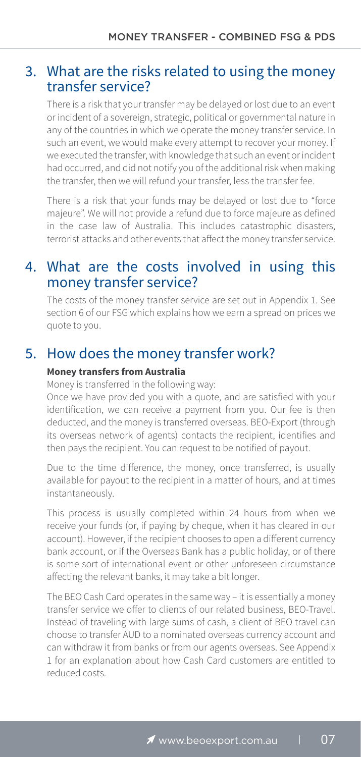#### 3. What are the risks related to using the money transfer service?

There is a risk that your transfer may be delayed or lost due to an event or incident of a sovereign, strategic, political or governmental nature in any of the countries in which we operate the money transfer service. In such an event, we would make every attempt to recover your money. If we executed the transfer, with knowledge that such an event or incident had occurred, and did not notify you of the additional risk when making the transfer, then we will refund your transfer, less the transfer fee.

There is a risk that your funds may be delayed or lost due to "force majeure". We will not provide a refund due to force majeure as defined in the case law of Australia. This includes catastrophic disasters, terrorist attacks and other events that affect the money transfer service.

#### 4. What are the costs involved in using this money transfer service?

The costs of the money transfer service are set out in Appendix 1. See section 6 of our FSG which explains how we earn a spread on prices we quote to you.

#### 5. How does the money transfer work?

#### **Money transfers from Australia**

Money is transferred in the following way:

Once we have provided you with a quote, and are satisfied with your identification, we can receive a payment from you. Our fee is then deducted, and the money is transferred overseas. BEO-Export (through its overseas network of agents) contacts the recipient, identifies and then pays the recipient. You can request to be notified of payout.

Due to the time difference, the money, once transferred, is usually available for payout to the recipient in a matter of hours, and at times instantaneously.

This process is usually completed within 24 hours from when we receive your funds (or, if paying by cheque, when it has cleared in our account). However, if the recipient chooses to open a different currency bank account, or if the Overseas Bank has a public holiday, or of there is some sort of international event or other unforeseen circumstance affecting the relevant banks, it may take a bit longer.

The BEO Cash Card operates in the same way – it is essentially a money transfer service we offer to clients of our related business, BEO-Travel. Instead of traveling with large sums of cash, a client of BEO travel can choose to transfer AUD to a nominated overseas currency account and can withdraw it from banks or from our agents overseas. See Appendix 1 for an explanation about how Cash Card customers are entitled to reduced costs.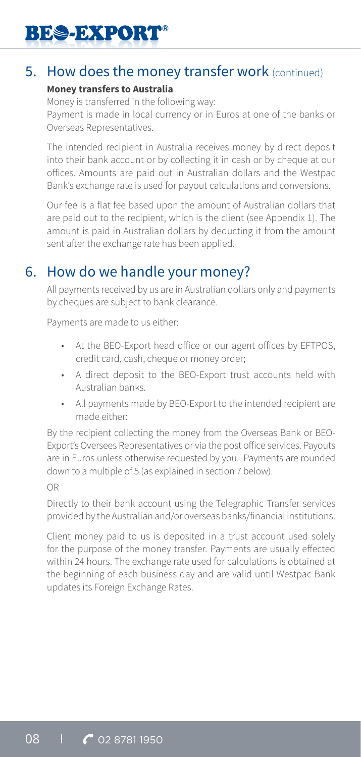#### 5. How does the money transfer work (continued)

#### **Money transfers to Australia**

Money is transferred in the following way: Payment is made in local currency or in Euros at one of the banks or Overseas Representatives.

The intended recipient in Australia receives money by direct deposit into their bank account or by collecting it in cash or by cheque at our offices. Amounts are paid out in Australian dollars and the Westpac Bank's exchange rate is used for payout calculations and conversions.

Our fee is a flat fee based upon the amount of Australian dollars that are paid out to the recipient, which is the client (see Appendix 1). The amount is paid in Australian dollars by deducting it from the amount sent after the exchange rate has been applied.

### 6. How do we handle your money?

All payments received by us are in Australian dollars only and payments by cheques are subject to bank clearance.

Payments are made to us either:

- At the BEO-Export head office or our agent offices by EFTPOS, credit card, cash, cheque or money order;
- A direct deposit to the BEO-Export trust accounts held with Australian banks.
- All payments made by BEO-Export to the intended recipient are made either:

By the recipient collecting the money from the Overseas Bank or BEO-Export's Oversees Representatives or via the post office services. Payouts are in Euros unless otherwise requested by you. Payments are rounded down to a multiple of 5 (as explained in section 7 below).

#### OR

Directly to their bank account using the Telegraphic Transfer services provided by the Australian and/or overseas banks/financial institutions.

Client money paid to us is deposited in a trust account used solely for the purpose of the money transfer. Payments are usually effected within 24 hours. The exchange rate used for calculations is obtained at the beginning of each business day and are valid until Westpac Bank updates its Foreign Exchange Rates.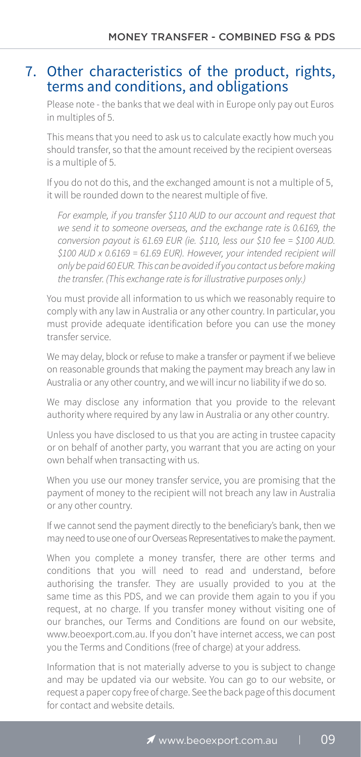### 7. Other characteristics of the product, rights, terms and conditions, and obligations

Please note - the banks that we deal with in Europe only pay out Euros in multiples of 5.

This means that you need to ask us to calculate exactly how much you should transfer, so that the amount received by the recipient overseas is a multiple of 5.

If you do not do this, and the exchanged amount is not a multiple of 5, it will be rounded down to the nearest multiple of five.

*For example, if you transfer \$110 AUD to our account and request that we send it to someone overseas, and the exchange rate is 0.6169, the conversion payout is 61.69 EUR (ie. \$110, less our \$10 fee = \$100 AUD. \$100 AUD x 0.6169 = 61.69 EUR). However, your intended recipient will only be paid 60 EUR. This can be avoided if you contact us before making the transfer. (This exchange rate is for illustrative purposes only.)* 

You must provide all information to us which we reasonably require to comply with any law in Australia or any other country. In particular, you must provide adequate identification before you can use the money transfer service.

We may delay, block or refuse to make a transfer or payment if we believe on reasonable grounds that making the payment may breach any law in Australia or any other country, and we will incur no liability if we do so.

We may disclose any information that you provide to the relevant authority where required by any law in Australia or any other country.

Unless you have disclosed to us that you are acting in trustee capacity or on behalf of another party, you warrant that you are acting on your own behalf when transacting with us.

When you use our money transfer service, you are promising that the payment of money to the recipient will not breach any law in Australia or any other country.

If we cannot send the payment directly to the beneficiary's bank, then we may need to use one of our Overseas Representatives to make the payment.

When you complete a money transfer, there are other terms and conditions that you will need to read and understand, before authorising the transfer. They are usually provided to you at the same time as this PDS, and we can provide them again to you if you request, at no charge. If you transfer money without visiting one of our branches, our Terms and Conditions are found on our website, www.beoexport.com.au. If you don't have internet access, we can post you the Terms and Conditions (free of charge) at your address.

Information that is not materially adverse to you is subject to change and may be updated via our website. You can go to our website, or request a paper copy free of charge. See the back page of this document for contact and website details.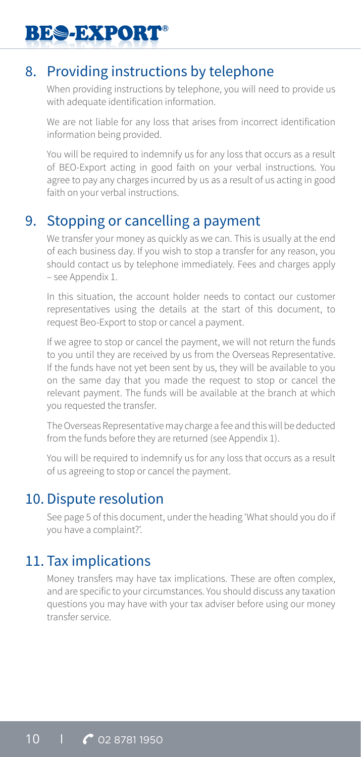### 8. Providing instructions by telephone

When providing instructions by telephone, you will need to provide us with adequate identification information.

We are not liable for any loss that arises from incorrect identification information being provided.

You will be required to indemnify us for any loss that occurs as a result of BEO-Export acting in good faith on your verbal instructions. You agree to pay any charges incurred by us as a result of us acting in good faith on your verbal instructions.

#### 9. Stopping or cancelling a payment

We transfer your money as quickly as we can. This is usually at the end of each business day. If you wish to stop a transfer for any reason, you should contact us by telephone immediately. Fees and charges apply – see Appendix 1.

In this situation, the account holder needs to contact our customer representatives using the details at the start of this document, to request Beo-Export to stop or cancel a payment.

If we agree to stop or cancel the payment, we will not return the funds to you until they are received by us from the Overseas Representative. If the funds have not yet been sent by us, they will be available to you on the same day that you made the request to stop or cancel the relevant payment. The funds will be available at the branch at which you requested the transfer.

The Overseas Representative may charge a fee and this will be deducted from the funds before they are returned (see Appendix 1).

You will be required to indemnify us for any loss that occurs as a result of us agreeing to stop or cancel the payment.

#### 10. Dispute resolution

See page 5 of this document, under the heading 'What should you do if you have a complaint?'.

### 11. Tax implications

Money transfers may have tax implications. These are often complex, and are specific to your circumstances. You should discuss any taxation questions you may have with your tax adviser before using our money transfer service.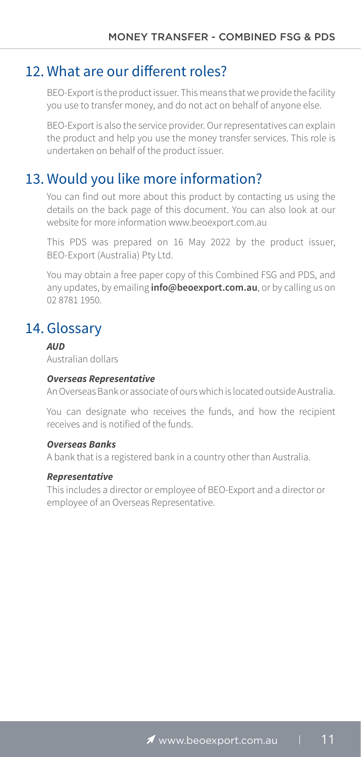#### 12. What are our different roles?

BEO-Export is the product issuer. This means that we provide the facility you use to transfer money, and do not act on behalf of anyone else.

BEO-Export is also the service provider. Our representatives can explain the product and help you use the money transfer services. This role is undertaken on behalf of the product issuer.

#### 13. Would you like more information?

You can find out more about this product by contacting us using the details on the back page of this document. You can also look at our website for more information www.beoexport.com.au

This PDS was prepared on 16 May 2022 by the product issuer, BEO-Export (Australia) Pty Ltd.

You may obtain a free paper copy of this Combined FSG and PDS, and any updates, by emailing **info@beoexport.com.au**, or by calling us on 02 8781 1950.

### 14. Glossary

*AUD*

Australian dollars

#### *Overseas Representative*

An Overseas Bank or associate of ours which is located outside Australia.

You can designate who receives the funds, and how the recipient receives and is notified of the funds.

#### *Overseas Banks*

A bank that is a registered bank in a country other than Australia.

#### *Representative*

This includes a director or employee of BEO-Export and a director or employee of an Overseas Representative.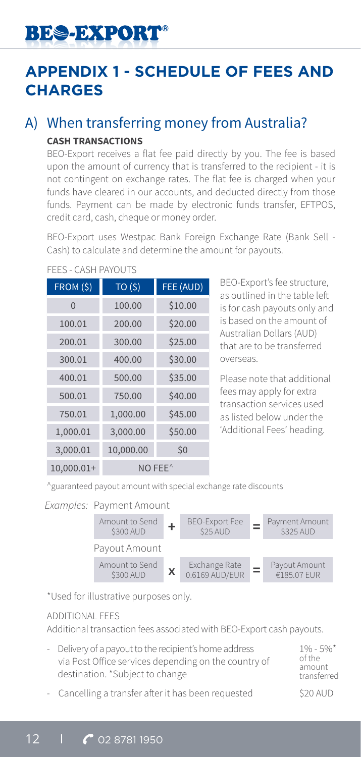## **APPENDIX 1 - SCHEDULE OF FEES AND CHARGES**

#### A) When transferring money from Australia? **CASH TRANSACTIONS**

BEO-Export receives a flat fee paid directly by you. The fee is based upon the amount of currency that is transferred to the recipient - it is not contingent on exchange rates. The flat fee is charged when your funds have cleared in our accounts, and deducted directly from those funds. Payment can be made by electronic funds transfer, EFTPOS, credit card, cash, cheque or money order.

BEO-Export uses Westpac Bank Foreign Exchange Rate (Bank Sell - Cash) to calculate and determine the amount for payouts.

| FROM(S)    | TO(5)               | FEE (AUD) |
|------------|---------------------|-----------|
| $\Omega$   | 100.00              | \$10.00   |
| 100.01     | 200.00              | \$20.00   |
| 200.01     | 300.00              | \$25.00   |
| 300.01     | 400.00              | \$30.00   |
| 400.01     | 500.00              | \$35.00   |
| 500.01     | 750.00              | \$40.00   |
| 750.01     | 1,000.00            | \$45.00   |
| 1,000.01   | 3,000.00            | \$50.00   |
| 3,000.01   | 10,000.00           | \$0       |
| 10,000.01+ | NO FEE <sup>^</sup> |           |

#### FEES - CASH PAYOUTS

BEO-Export's fee structure, as outlined in the table left is for cash payouts only and is based on the amount of Australian Dollars (AUD) that are to be transferred overseas.

Please note that additional fees may apply for extra transaction services used as listed below under the 'Additional Fees' heading.

^guaranteed payout amount with special exchange rate discounts

*Examples:* Payment Amount



\*Used for illustrative purposes only.

#### ADDITIONAL FEES

Additional transaction fees associated with BEO-Export cash payouts.

- Delivery of a payout to the recipient's home address via Post Office services depending on the country of destination. \*Subject to change
- Cancelling a transfer after it has been requested  $\qquad \qquad$  \$20 AUD

 $1\% - 5\%$ of the amount transferred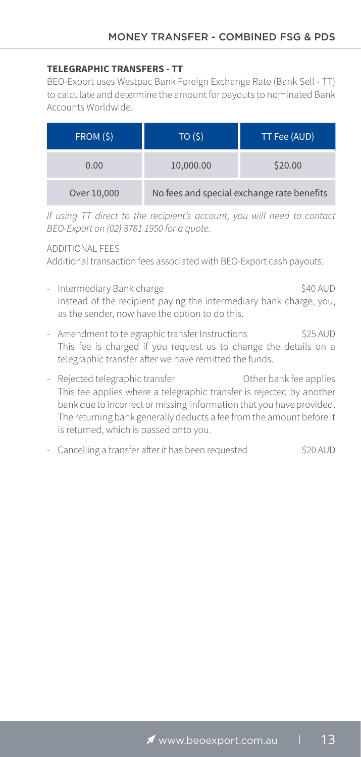#### **TELEGRAPHIC TRANSFERS - TT**

BEO-Export uses Westpac Bank Foreign Exchange Rate (Bank Sell - TT) to calculate and determine the amount for payouts to nominated Bank Accounts Worldwide.

| FROM (\$)   | TO(S)                                      | TT Fee (AUD) |
|-------------|--------------------------------------------|--------------|
| 0.00        | 10,000.00                                  | \$20.00      |
| Over 10,000 | No fees and special exchange rate benefits |              |

*If using TT direct to the recipient's account, you will need to contact BEO-Export on (02) 8781 1950 for a quote.*

#### ADDITIONAL FEES

Additional transaction fees associated with BEO-Export cash payouts.

- Intermediary Bank charge  $$40$  AUD Instead of the recipient paying the intermediary bank charge, you, as the sender, now have the option to do this.
- Amendment to telegraphic transfer Instructions \$25 AUD This fee is charged if you request us to change the details on a telegraphic transfer after we have remitted the funds.
- Rejected telegraphic transfer **Other bank** fee applies This fee applies where a telegraphic transfer is rejected by another bank due to incorrect or missing information that you have provided. The returning bank generally deducts a fee from the amount before it is returned, which is passed onto you.
- Cancelling a transfer after it has been requested  $\sim$  \$20 AUD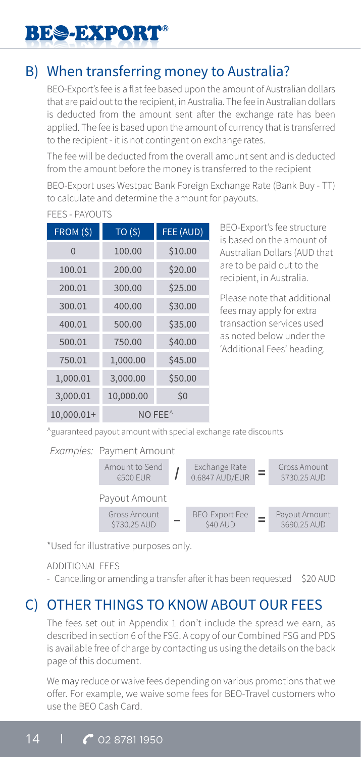## B) When transferring money to Australia?

BEO-Export's fee is a flat fee based upon the amount of Australian dollars that are paid out to the recipient, in Australia. The fee in Australian dollars is deducted from the amount sent after the exchange rate has been applied. The fee is based upon the amount of currency that is transferred to the recipient - it is not contingent on exchange rates.

The fee will be deducted from the overall amount sent and is deducted from the amount before the money is transferred to the recipient

BEO-Export uses Westpac Bank Foreign Exchange Rate (Bank Buy - TT) to calculate and determine the amount for payouts.

| FROM(S)                            | TO(5)     | FEE (AUD) |
|------------------------------------|-----------|-----------|
| $\Omega$                           | 100.00    | \$10.00   |
| 100.01                             | 200.00    | \$20.00   |
| 200.01                             | 300.00    | \$25.00   |
| 300.01                             | 400.00    | \$30.00   |
| 400.01                             | 500.00    | \$35.00   |
| 500.01                             | 750.00    | \$40.00   |
| 750.01                             | 1,000.00  | \$45.00   |
| 1,000.01                           | 3,000.00  | \$50.00   |
| 3,000.01                           | 10,000.00 | \$0       |
| 10,000.01+<br>$NO$ FEE $^{\wedge}$ |           |           |

#### FEES - PAYOUTS

BEO-Export's fee structure is based on the amount of Australian Dollars (AUD that are to be paid out to the recipient, in Australia.

Please note that additional fees may apply for extra transaction services used as noted below under the 'Additional Fees' heading.

^guaranteed payout amount with special exchange rate discounts

*Examples:* Payment Amount



\*Used for illustrative purposes only.

#### ADDITIONAL FEES

- Cancelling or amending a transfer after it has been requested \$20 AUD

## C) OTHER THINGS TO KNOW ABOUT OUR FEES

The fees set out in Appendix 1 don't include the spread we earn, as described in section 6 of the FSG. A copy of our Combined FSG and PDS is available free of charge by contacting us using the details on the back page of this document.

We may reduce or waive fees depending on various promotions that we offer. For example, we waive some fees for BEO-Travel customers who use the BEO Cash Card.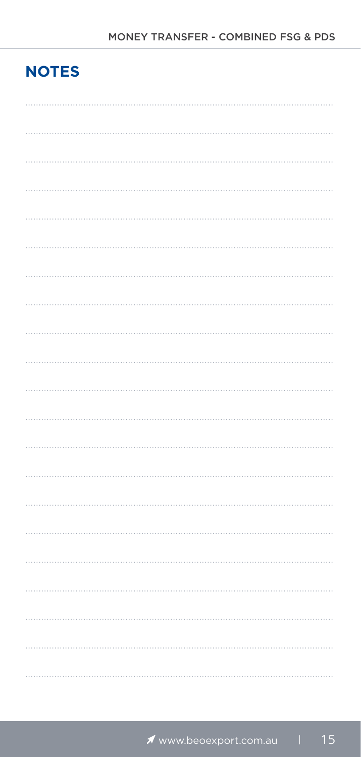## **NOTES**